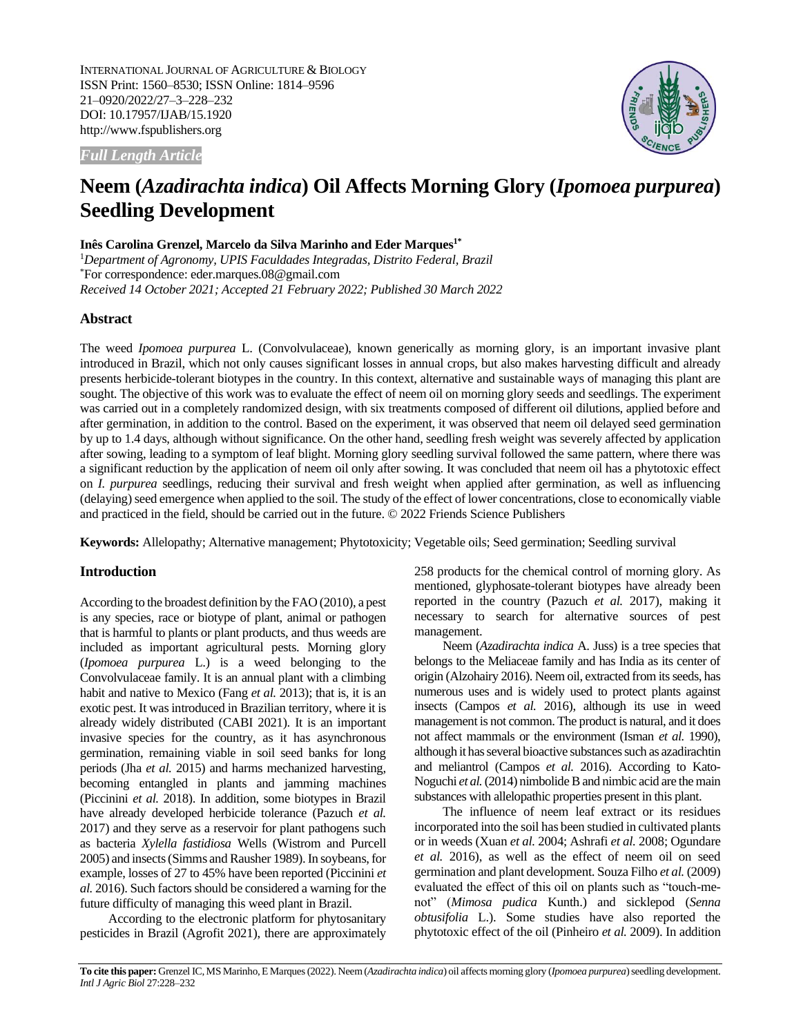INTERNATIONAL JOURNAL OF AGRICULTURE & BIOLOGY ISSN Print: 1560–8530; ISSN Online: 1814–9596 21–0920/2022/27–3–228–232 DOI: 10.17957/IJAB/15.1920 http://www.fspublishers.org



*Full Length Article*

# **Neem (***Azadirachta indica***) Oil Affects Morning Glory (***Ipomoea purpurea***) Seedling Development**

# **Inês Carolina Grenzel, Marcelo da Silva Marinho and Eder Marques1\***

<sup>1</sup>*Department of Agronomy, UPIS Faculdades Integradas, Distrito Federal, Brazil* \*For correspondence: eder.marques.08@gmail.com *Received 14 October 2021; Accepted 21 February 2022; Published 30 March 2022*

# **Abstract**

The weed *Ipomoea purpurea* L. (Convolvulaceae), known generically as morning glory, is an important invasive plant introduced in Brazil, which not only causes significant losses in annual crops, but also makes harvesting difficult and already presents herbicide-tolerant biotypes in the country. In this context, alternative and sustainable ways of managing this plant are sought. The objective of this work was to evaluate the effect of neem oil on morning glory seeds and seedlings. The experiment was carried out in a completely randomized design, with six treatments composed of different oil dilutions, applied before and after germination, in addition to the control. Based on the experiment, it was observed that neem oil delayed seed germination by up to 1.4 days, although without significance. On the other hand, seedling fresh weight was severely affected by application after sowing, leading to a symptom of leaf blight. Morning glory seedling survival followed the same pattern, where there was a significant reduction by the application of neem oil only after sowing. It was concluded that neem oil has a phytotoxic effect on *I. purpurea* seedlings, reducing their survival and fresh weight when applied after germination, as well as influencing (delaying) seed emergence when applied to the soil. The study of the effect of lower concentrations, close to economically viable and practiced in the field, should be carried out in the future. © 2022 Friends Science Publishers

**Keywords:** Allelopathy; Alternative management; Phytotoxicity; Vegetable oils; Seed germination; Seedling survival

# **Introduction**

According to the broadest definition by the FAO (2010), a pest is any species, race or biotype of plant, animal or pathogen that is harmful to plants or plant products, and thus weeds are included as important agricultural pests. Morning glory (*Ipomoea purpurea* L.) is a weed belonging to the Convolvulaceae family. It is an annual plant with a climbing habit and native to Mexico (Fang *et al.* 2013); that is, it is an exotic pest. It was introduced in Brazilian territory, where it is already widely distributed (CABI 2021). It is an important invasive species for the country, as it has asynchronous germination, remaining viable in soil seed banks for long periods (Jha *et al.* 2015) and harms mechanized harvesting, becoming entangled in plants and jamming machines (Piccinini *et al.* 2018). In addition, some biotypes in Brazil have already developed herbicide tolerance (Pazuch *et al.* 2017) and they serve as a reservoir for plant pathogens such as bacteria *Xylella fastidiosa* Wells (Wistrom and Purcell 2005) and insects (Simms and Rausher 1989). In soybeans, for example, losses of 27 to 45% have been reported (Piccinini *et al.* 2016). Such factors should be considered a warning for the future difficulty of managing this weed plant in Brazil.

According to the electronic platform for phytosanitary pesticides in Brazil (Agrofit 2021), there are approximately 258 products for the chemical control of morning glory. As mentioned, glyphosate-tolerant biotypes have already been reported in the country (Pazuch *et al.* 2017), making it necessary to search for alternative sources of pest management.

Neem (*Azadirachta indica* A. Juss) is a tree species that belongs to the Meliaceae family and has India as its center of origin (Alzohairy 2016). Neem oil, extracted from its seeds, has numerous uses and is widely used to protect plants against insects (Campos *et al.* 2016), although its use in weed management is not common. The product is natural, and it does not affect mammals or the environment (Isman *et al.* 1990), although it has several bioactive substances such as azadirachtin and meliantrol (Campos *et al.* 2016). According to Kato-Noguchi *et al.*(2014) nimbolide B and nimbic acid are the main substances with allelopathic properties present in this plant.

The influence of neem leaf extract or its residues incorporated into the soil has been studied in cultivated plants or in weeds (Xuan *et al.* 2004; Ashrafi *et al.* 2008; Ogundare *et al.* 2016), as well as the effect of neem oil on seed germination and plant development. Souza Filho *et al.* (2009) evaluated the effect of this oil on plants such as "touch-menot" (*Mimosa pudica* Kunth.) and sicklepod (*Senna obtusifolia* L.). Some studies have also reported the phytotoxic effect of the oil (Pinheiro *et al.* 2009). In addition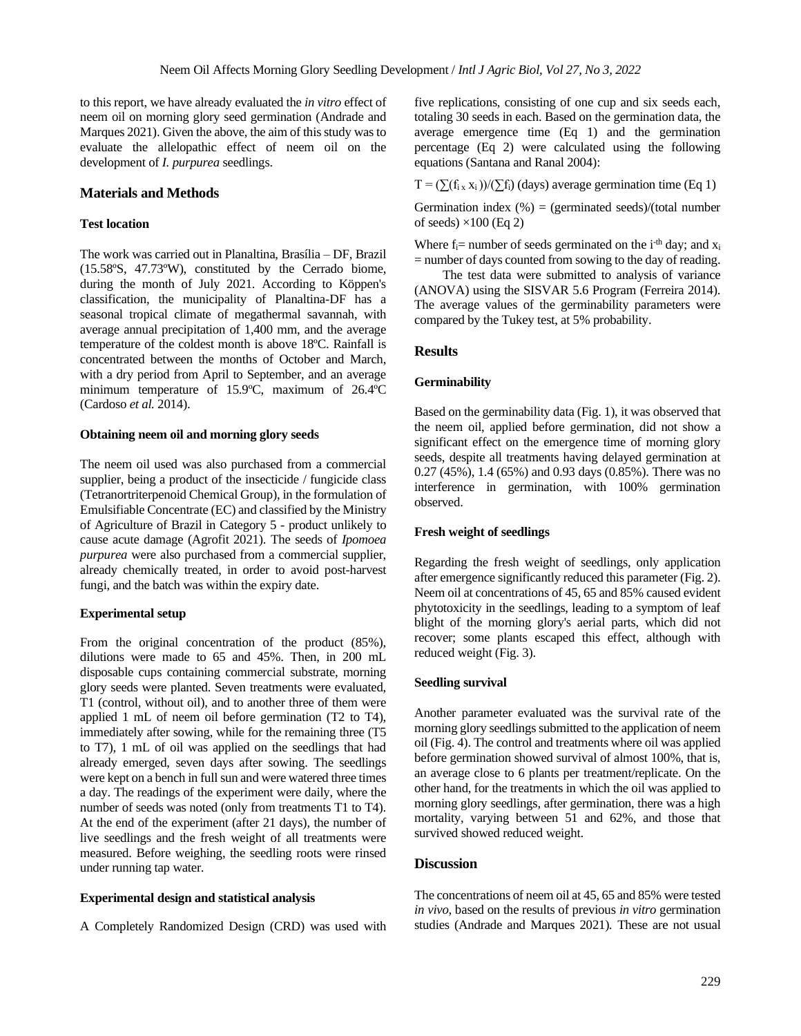to this report, we have already evaluated the *in vitro* effect of neem oil on morning glory seed germination (Andrade and Marques 2021). Given the above, the aim of this study was to evaluate the allelopathic effect of neem oil on the development of *I. purpurea* seedlings.

# **Materials and Methods**

#### **Test location**

The work was carried out in Planaltina, Brasília – DF, Brazil (15.58ºS, 47.73ºW), constituted by the Cerrado biome, during the month of July 2021. According to Köppen's classification, the municipality of Planaltina-DF has a seasonal tropical climate of megathermal savannah, with average annual precipitation of 1,400 mm, and the average temperature of the coldest month is above 18ºC. Rainfall is concentrated between the months of October and March, with a dry period from April to September, and an average minimum temperature of 15.9ºC, maximum of 26.4ºC (Cardoso *et al.* 2014).

#### **Obtaining neem oil and morning glory seeds**

The neem oil used was also purchased from a commercial supplier, being a product of the insecticide / fungicide class (Tetranortriterpenoid Chemical Group), in the formulation of Emulsifiable Concentrate (EC) and classified by the Ministry of Agriculture of Brazil in Category 5 - product unlikely to cause acute damage (Agrofit 2021). The seeds of *Ipomoea purpurea* were also purchased from a commercial supplier, already chemically treated, in order to avoid post-harvest fungi, and the batch was within the expiry date.

#### **Experimental setup**

From the original concentration of the product (85%), dilutions were made to 65 and 45%. Then, in 200 mL disposable cups containing commercial substrate, morning glory seeds were planted. Seven treatments were evaluated, T1 (control, without oil), and to another three of them were applied 1 mL of neem oil before germination (T2 to T4), immediately after sowing, while for the remaining three (T5 to T7), 1 mL of oil was applied on the seedlings that had already emerged, seven days after sowing. The seedlings were kept on a bench in full sun and were watered three times a day. The readings of the experiment were daily, where the number of seeds was noted (only from treatments T1 to T4). At the end of the experiment (after 21 days), the number of live seedlings and the fresh weight of all treatments were measured. Before weighing, the seedling roots were rinsed under running tap water.

## **Experimental design and statistical analysis**

A Completely Randomized Design (CRD) was used with

five replications, consisting of one cup and six seeds each, totaling 30 seeds in each. Based on the germination data, the average emergence time (Eq 1) and the germination percentage (Eq 2) were calculated using the following equations (Santana and Ranal 2004):

 $T = (\sum (f_{i} x_i) / (\sum f_i)$  (days) average germination time (Eq 1)

Germination index  $(\%)$  = (germinated seeds)/(total number of seeds)  $\times$ 100 (Eq 2)

Where  $f_i$  = number of seeds germinated on the i<sup>-th</sup> day; and  $x_i$  $=$  number of days counted from sowing to the day of reading.

The test data were submitted to analysis of variance (ANOVA) using the SISVAR 5.6 Program (Ferreira 2014). The average values of the germinability parameters were compared by the Tukey test, at 5% probability.

## **Results**

#### **Germinability**

Based on the germinability data (Fig. 1), it was observed that the neem oil, applied before germination, did not show a significant effect on the emergence time of morning glory seeds, despite all treatments having delayed germination at 0.27 (45%), 1.4 (65%) and 0.93 days (0.85%). There was no interference in germination, with 100% germination observed.

## **Fresh weight of seedlings**

Regarding the fresh weight of seedlings, only application after emergence significantly reduced this parameter (Fig. 2). Neem oil at concentrations of 45, 65 and 85% caused evident phytotoxicity in the seedlings, leading to a symptom of leaf blight of the morning glory's aerial parts, which did not recover; some plants escaped this effect, although with reduced weight (Fig. 3).

# **Seedling survival**

Another parameter evaluated was the survival rate of the morning glory seedlings submitted to the application of neem oil (Fig. 4). The control and treatments where oil was applied before germination showed survival of almost 100%, that is, an average close to 6 plants per treatment/replicate. On the other hand, for the treatments in which the oil was applied to morning glory seedlings, after germination, there was a high mortality, varying between 51 and 62%, and those that survived showed reduced weight.

#### **Discussion**

The concentrations of neem oil at 45, 65 and 85% were tested *in vivo,* based on the results of previous *in vitro* germination studies (Andrade and Marques 2021)*.* These are not usual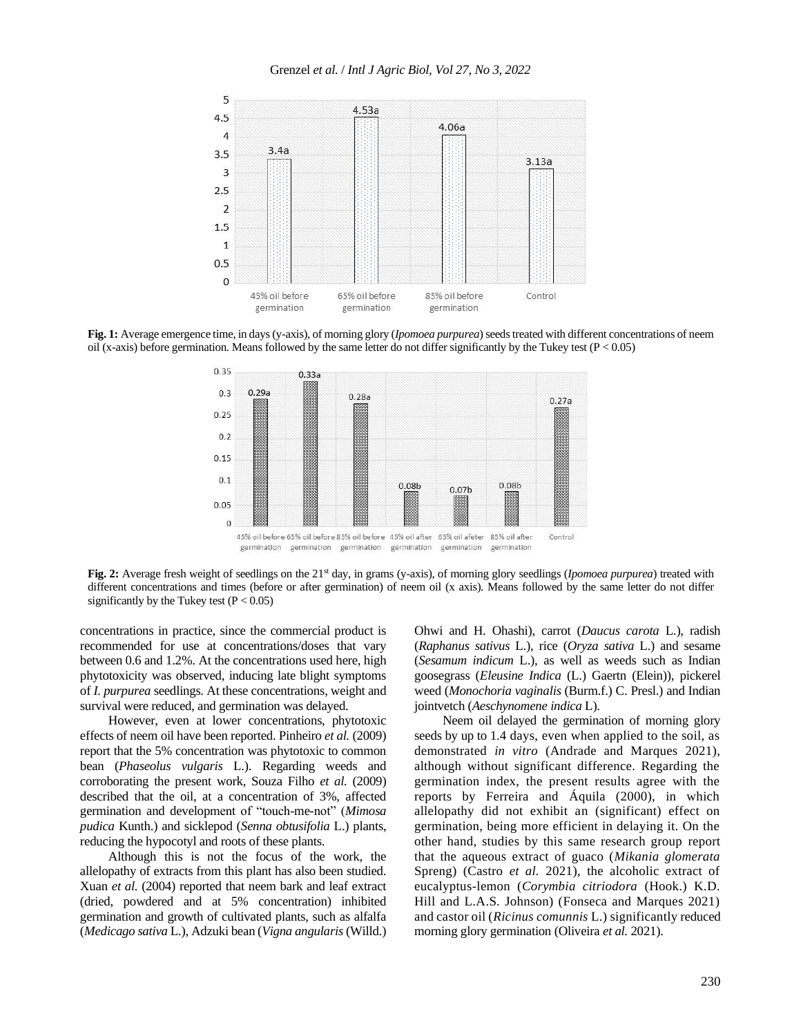

**Fig. 1:** Average emergence time, in days (y-axis), of morning glory (*Ipomoea purpurea*) seeds treated with different concentrations of neem oil (x-axis) before germination. Means followed by the same letter do not differ significantly by the Tukey test ( $P < 0.05$ )



Fig. 2: Average fresh weight of seedlings on the 21<sup>st</sup> day, in grams (y-axis), of morning glory seedlings (*Ipomoea purpurea*) treated with different concentrations and times (before or after germination) of neem oil (x axis). Means followed by the same letter do not differ significantly by the Tukey test  $(P < 0.05)$ 

concentrations in practice, since the commercial product is recommended for use at concentrations/doses that vary between 0.6 and 1.2%. At the concentrations used here, high phytotoxicity was observed, inducing late blight symptoms of *I. purpurea* seedlings. At these concentrations, weight and survival were reduced, and germination was delayed.

However, even at lower concentrations, phytotoxic effects of neem oil have been reported. Pinheiro *et al.* (2009) report that the 5% concentration was phytotoxic to common bean (*Phaseolus vulgaris* L.). Regarding weeds and corroborating the present work, Souza Filho *et al.* (2009) described that the oil, at a concentration of 3%, affected germination and development of "touch-me-not" (*Mimosa pudica* Kunth.) and sicklepod (*Senna obtusifolia* L.) plants, reducing the hypocotyl and roots of these plants.

Although this is not the focus of the work, the allelopathy of extracts from this plant has also been studied. Xuan *et al.* (2004) reported that neem bark and leaf extract (dried, powdered and at 5% concentration) inhibited germination and growth of cultivated plants, such as alfalfa (*Medicago sativa* L.), Adzuki bean (*Vigna angularis*(Willd.)

Ohwi and H. Ohashi), carrot (*Daucus carota* L.), radish (*Raphanus sativus* L.), rice (*Oryza sativa* L.) and sesame (*Sesamum indicum* L.), as well as weeds such as Indian goosegrass (*Eleusine Indica* (L.) Gaertn (Elein)), pickerel weed (*Monochoria vaginalis* (Burm.f.) C. Presl.) and Indian jointvetch (*Aeschynomene indica* L).

Neem oil delayed the germination of morning glory seeds by up to 1.4 days, even when applied to the soil, as demonstrated *in vitro* (Andrade and Marques 2021), although without significant difference. Regarding the germination index, the present results agree with the reports by Ferreira and Áquila (2000), in which allelopathy did not exhibit an (significant) effect on germination, being more efficient in delaying it. On the other hand, studies by this same research group report that the aqueous extract of guaco (*Mikania glomerata* Spreng) (Castro *et al.* 2021), the alcoholic extract of eucalyptus-lemon (*Corymbia citriodora* (Hook.) K.D. Hill and L.A.S. Johnson) (Fonseca and Marques 2021) and castor oil (*Ricinus comunnis* L.) significantly reduced morning glory germination (Oliveira *et al.* 2021).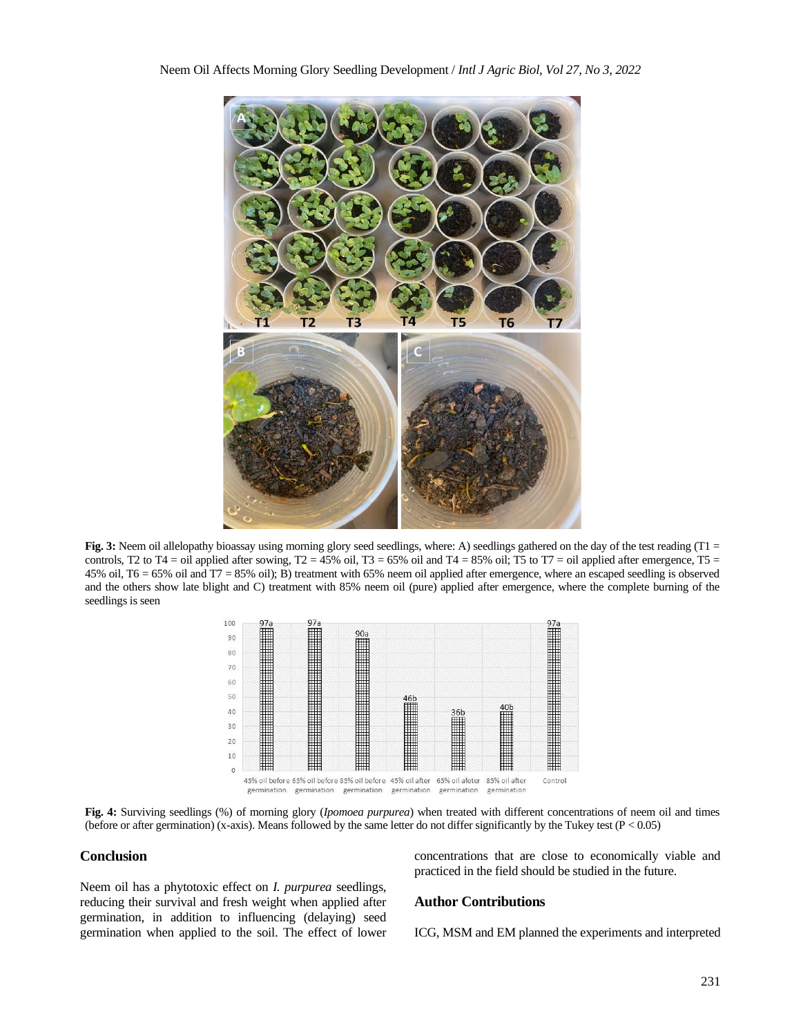

Fig. 3: Neem oil allelopathy bioassay using morning glory seed seedlings, where: A) seedlings gathered on the day of the test reading (T1 = controls, T2 to T4 = oil applied after sowing, T2 =  $45\%$  oil, T3 =  $65\%$  oil and T4 =  $85\%$  oil; T5 to T7 = oil applied after emergence, T5 = 45% oil, T6 = 65% oil and T7 = 85% oil); B) treatment with 65% neem oil applied after emergence, where an escaped seedling is observed and the others show late blight and C) treatment with 85% neem oil (pure) applied after emergence, where the complete burning of the seedlings is seen



**Fig. 4:** Surviving seedlings (%) of morning glory (*Ipomoea purpurea*) when treated with different concentrations of neem oil and times (before or after germination) (x-axis). Means followed by the same letter do not differ significantly by the Tukey test ( $P < 0.05$ )

# **Conclusion**

Neem oil has a phytotoxic effect on *I. purpurea* seedlings, reducing their survival and fresh weight when applied after germination, in addition to influencing (delaying) seed germination when applied to the soil. The effect of lower concentrations that are close to economically viable and practiced in the field should be studied in the future.

## **Author Contributions**

ICG, MSM and EM planned the experiments and interpreted